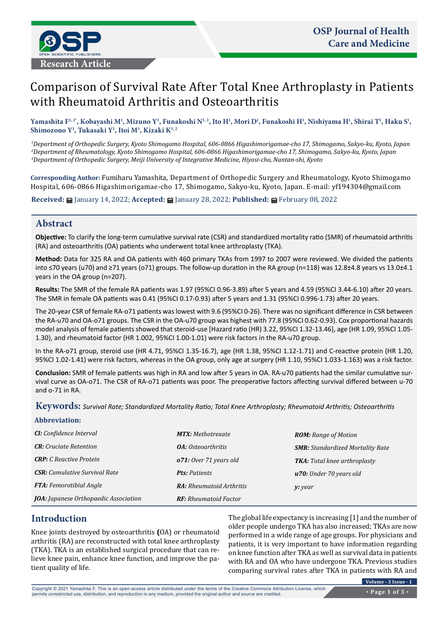

# Comparison of Survival Rate After Total Knee Arthroplasty in Patients with Rheumatoid Arthritis and Osteoarthritis

Yamashita Fʰ.2\*, Kobayashi Mʰ, Mizuno Yʰ, Funakoshi Nʰ.2, Ito Hʰ, Mori Dʰ, Funakoshi Hʰ, Nishiyama Hʰ, Shirai Tʰ, Haku Sʰ, **Shimozono Y1 , Tukasaki Y1 , Itoi M3 , Kizaki K1, 2**

*1 Department of Orthopedic Surgery, Kyoto Shimogamo Hospital, 606-0866 Higashimorigamae-cho 17, Shimogamo, Sakyo-ku, Kyoto, Japan 2 Department of Rheumatology, Kyoto Shimogamo Hospital, 606-0866 Higashimorigamae-cho 17, Shimogamo, Sakyo-ku, Kyoto, Japan 3 Department of Orthopedic Surgery, Meiji University of Integrative Medicine, Hiyosi-cho, Nantan-shi, Kyoto*

**Corresponding Author:** Fumiharu Yamashita, Department of Orthopedic Surgery and Rheumatology, Kyoto Shimogamo Hospital, 606-0866 Higashimorigamae-cho 17, Shimogamo, Sakyo-ku, Kyoto, Japan. E-mail: [yf194304@gmail.com](mailto:yf194304@gmail.com)

**Received:** January 14, 2022; **Accepted:** January 28, 2022; **Published:** February 08, 2022

# **Abstract**

**Objective:** To clarify the long-term cumulative survival rate (CSR) and standardized mortality ratio (SMR) of rheumatoid arthritis (RA) and osteoarthritis (OA) patients who underwent total knee arthroplasty (TKA).

**Method:** Data for 325 RA and OA patients with 460 primary TKAs from 1997 to 2007 were reviewed. We divided the patients into ≤70 years (u70) and ≥71 years (o71) groups. The follow-up duration in the RA group (n=118) was 12.8±4.8 years vs 13.0±4.1 years in the OA group (n=207).

**Results:** The SMR of the female RA patients was 1.97 (95%CI 0.96-3.89) after 5 years and 4.59 (95%CI 3.44-6.10) after 20 years. The SMR in female OA patients was 0.41 (95%CI 0.17-0.93) after 5 years and 1.31 (95%CI 0.996-1.73) after 20 years.

The 20-year CSR of female RA-o71 patients was lowest with 9.6 (95%CI 0-26). There was no significant difference in CSR between the RA-u70 and OA-o71 groups. The CSR in the OA-u70 group was highest with 77.8 (95%CI 0.62-0.93). Cox proportional hazards model analysis of female patients showed that steroid-use [Hazard ratio (HR) 3.22, 95%CI 1.32-13.46], age (HR 1.09, 95%CI 1.05- 1.30), and rheumatoid factor (HR 1.002, 95%CI 1.00-1.01) were risk factors in the RA-u70 group.

In the RA-o71 group, steroid use (HR 4.71, 95%CI 1.35-16.7), age (HR 1.38, 95%CI 1.12-1.71) and C-reactive protein (HR 1.20, 95%CI 1.02-1.41) were risk factors, whereas in the OA group, only age at surgery (HR 1.10, 95%CI 1.033-1.163) was a risk factor.

**Conclusion:** SMR of female patients was high in RA and low after 5 years in OA. RA-u70 patients had the similar cumulative survival curve as OA-o71. The CSR of RA-o71 patients was poor. The preoperative factors affecting survival differed between u-70 and o-71 in RA.

**Keywords:** *Survival Rate; Standardized Mortality Ratio; Total Knee Arthroplasty; Rheumatoid Arthritis; Osteoarthritis*

## **Abbreviation:**

| <b>CI:</b> Confidence Interval               | <b>MTX:</b> Methotrexate         | <b>ROM:</b> Range of Motion             |
|----------------------------------------------|----------------------------------|-----------------------------------------|
| <b>CR:</b> Cruciate Retention                | <b><i>OA: Osteoarthritis</i></b> | <b>SMR:</b> Standardized Mortality Rate |
| <b>CRP</b> : C Reactive Protein              | o71: Over 71 years old           | <b>TKA:</b> Total knee arthroplasty     |
| <b>CSR:</b> Cumulative Survival Rate         | <b>Pts: Patients</b>             | u70: Under 70 years old                 |
| <b>FTA:</b> Femorotibial Angle               | <b>RA:</b> Rheumatoid Arthritis  | y: year                                 |
| <b>JOA:</b> Japanese Orthopaedic Association | <b>RF:</b> Rheumatoid Factor     |                                         |

# **Introduction**

Knee joints destroyed by osteoarthritis **(**OA) or rheumatoid arthritis (RA) are reconstructed with total knee arthroplasty (TKA). TKA is an established surgical procedure that can relieve knee pain, enhance knee function, and improve the patient quality of life.

The global life expectancy is increasing [1] and the number of older people undergo TKA has also increased; TKAs are now performed in a wide range of age groups. For physicians and patients, it is very important to have information regarding on knee function after TKA as well as survival data in patients with RA and OA who have undergone TKA. Previous studies comparing survival rates after TKA in patients with RA and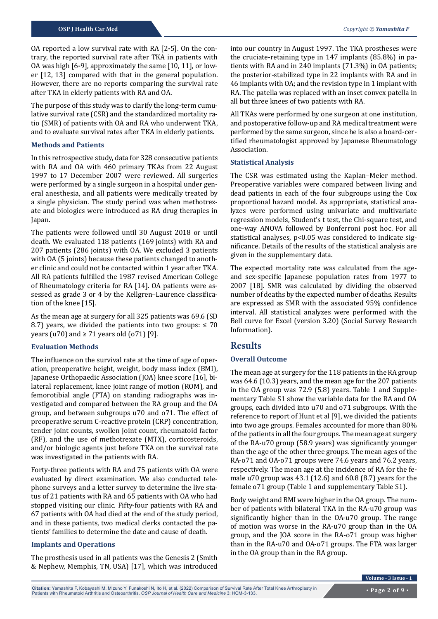OA reported a low survival rate with RA [2**-**5]. On the contrary, the reported survival rate after TKA in patients with OA was high [6**-**9], approximately the same [10, 11], or lower [12, 13] compared with that in the general population. However, there are no reports comparing the survival rate after TKA in elderly patients with RA and OA.

The purpose of this study was to clarify the long-term cumulative survival rate (CSR) and the standardized mortality ratio (SMR) of patients with OA and RA who underwent TKA, and to evaluate survival rates after TKA in elderly patients.

#### **Methods and Patients**

In this retrospective study, data for 328 consecutive patients with RA and OA with 460 primary TKAs from 22 August 1997 to 17 December 2007 were reviewed. All surgeries were performed by a single surgeon in a hospital under general anesthesia, and all patients were medically treated by a single physician. The study period was when methotrexate and biologics were introduced as RA drug therapies in Japan.

The patients were followed until 30 August 2018 or until death. We evaluated 118 patients (169 joints) with RA and 207 patients (286 joints) with OA. We excluded 3 patients with OA (5 joints) because these patients changed to another clinic and could not be contacted within 1 year after TKA. All RA patients fulfilled the 1987 revised American College of Rheumatology criteria for RA [14]. OA patients were assessed as grade 3 or 4 by the Kellgren–Laurence classification of the knee [15].

As the mean age at surgery for all 325 patients was 69.6 (SD 8.7) years, we divided the patients into two groups:  $\leq 70$ years (u70) and  $\geq$  71 years old (o71) [9].

#### **Evaluation Methods**

The influence on the survival rate at the time of age of operation, preoperative height, weight, body mass index (BMI), Japanese Orthopaedic Association (JOA) knee score [16], bilateral replacement, knee joint range of motion (ROM), and femorotibial angle (FTA) on standing radiographs was investigated and compared between the RA group and the OA group, and between subgroups u70 and o71. The effect of preoperative serum C-reactive protein (CRP) concentration, tender joint counts, swollen joint count, rheumatoid factor (RF), and the use of methotrexate (MTX), corticosteroids, and/or biologic agents just before TKA on the survival rate was investigated in the patients with RA.

Forty-three patients with RA and 75 patients with OA were evaluated by direct examination. We also conducted telephone surveys and a letter survey to determine the live status of 21 patients with RA and 65 patients with OA who had stopped visiting our clinic. Fifty-four patients with RA and 67 patients with OA had died at the end of the study period, and in these patients, two medical clerks contacted the patients' families to determine the date and cause of death.

#### **Implants and Operations**

The prosthesis used in all patients was the Genesis 2 (Smith & Nephew, Memphis, TN, USA) [17], which was introduced

into our country in August 1997. The TKA prostheses were the cruciate-retaining type in 147 implants (85.8%) in patients with RA and in 240 implants (71.3%) in OA patients; the posterior-stabilized type in 22 implants with RA and in 46 implants with OA; and the revision type in 1 implant with RA. The patella was replaced with an inset convex patella in all but three knees of two patients with RA.

All TKAs were performed by one surgeon at one institution, and postoperative follow-up and RA medical treatment were performed by the same surgeon, since he is also a board-certified rheumatologist approved by Japanese Rheumatology Association.

#### **Statistical Analysis**

The CSR was estimated using the Kaplan–Meier method. Preoperative variables were compared between living and dead patients in each of the four subgroups using the Cox proportional hazard model. As appropriate, statistical analyzes were performed using univariate and multivariate regression models, Student's t test, the Chi-square test, and one-way ANOVA followed by Bonferroni post hoc. For all statistical analyses, p<0.05 was considered to indicate significance. Details of the results of the statistical analysis are given in the supplementary data.

The expected mortality rate was calculated from the ageand sex-specific Japanese population rates from 1977 to 2007 [18]. SMR was calculated by dividing the observed number of deaths by the expected number of deaths. Results are expressed as SMR with the associated 95% confidence interval. All statistical analyzes were performed with the Bell curve for Excel (version 3.20) (Social Survey Research Information).

## **Results**

## **Overall Outcome**

The mean age at surgery for the 118 patients in the RA group was 64.6 (10.3) years, and the mean age for the 207 patients in the OA group was 72.9 (5.8) years. Table 1 and Supplementary Table S1 show the variable data for the RA and OA groups, each divided into u70 and o71 subgroups. With the reference to report of Hunt et al [9], we divided the patients into two age groups. Females accounted for more than 80% of the patients in all the four groups. The mean age at surgery of the RA-u70 group (58.9 years) was significantly younger than the age of the other three groups. The mean ages of the RA-o71 and OA-o71 groups were 74.6 years and 76.2 years, respectively. The mean age at the incidence of RA for the female u70 group was 43.1 (12.6) and 60.8 (8.7) years for the female o71 group (Table 1 and supplementary Table S1).

Body weight and BMI were higher in the OA group. The number of patients with bilateral TKA in the RA-u70 group was significantly higher than in the OA-u70 group. The range of motion was worse in the RA-u70 group than in the OA group, and the JOA score in the RA-o71 group was higher than in the RA-u70 and OA-o71 groups. The FTA was larger in the OA group than in the RA group.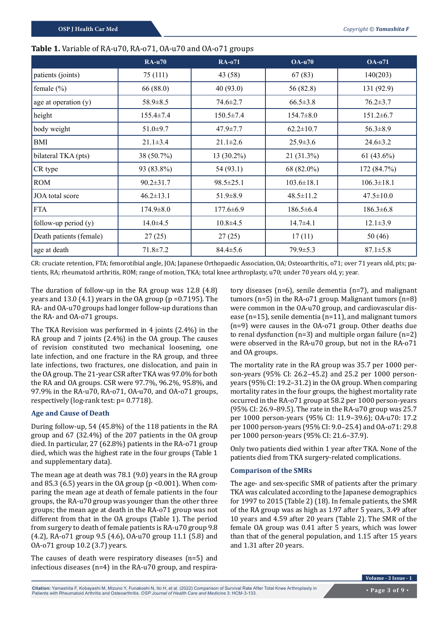|                         | <b>RA-u70</b>   | <b>RA-071</b>   | $OA-u70$         | <b>OA-071</b>    |
|-------------------------|-----------------|-----------------|------------------|------------------|
| patients (joints)       | 75 (111)        | 43 (58)         | 67(83)           | 140(203)         |
| female $(\% )$          | 66 (88.0)       | 40(93.0)        | 56 (82.8)        | 131(92.9)        |
| age at operation (y)    | 58.9±8.5        | $74.6 \pm 2.7$  | $66.5 \pm 3.8$   | $76.2 \pm 3.7$   |
| height                  | $155.4 \pm 7.4$ | $150.5 \pm 7.4$ | $154.7 \pm 8.0$  | $151.2 \pm 6.7$  |
| body weight             | $51.0 \pm 9.7$  | $47.9 \pm 7.7$  | $62.2 \pm 10.7$  | $56.3 \pm 8.9$   |
| <b>BMI</b>              | $21.1 \pm 3.4$  | $21.1 \pm 2.6$  | $25.9 \pm 3.6$   | $24.6 \pm 3.2$   |
| bilateral TKA (pts)     | 38 (50.7%)      | 13 (30.2%)      | 21 (31.3%)       | $61(43.6\%)$     |
| CR type                 | 93 (83.8%)      | 54(93.1)        | 68 (82.0%)       | 172 (84.7%)      |
| <b>ROM</b>              | $90.2 \pm 31.7$ | $98.5 \pm 25.1$ | $103.6 \pm 18.1$ | $106.3 \pm 18.1$ |
| JOA total score         | $46.2 \pm 13.1$ | $51.9 \pm 8.9$  | $48.5 \pm 11.2$  | $47.5 \pm 10.0$  |
| <b>FTA</b>              | $174.9 \pm 8.0$ | $177.6 \pm 6.9$ | $186.5 \pm 6.4$  | $186.3 \pm 6.8$  |
| follow-up period $(y)$  | $14.0 \pm 4.5$  | $10.8 \pm 4.5$  | $14.7 + 4.1$     | $12.1 \pm 3.9$   |
| Death patients (female) | 27(25)          | 27(25)          | 17(11)           | 50 (46)          |
| age at death            | $71.8 \pm 7.2$  | $84.4 \pm 5.6$  | $79.9 \pm 5.3$   | $87.1 \pm 5.8$   |

## **Table 1.** Variable of RA-u70, RA-o71, OA-u70 and OA-o71 groups

CR: cruciate retention, FTA; femorotibial angle, JOA; Japanese Orthopaedic Association, OA; Osteoarthritis, o71; over 71 years old, pts; patients, RA; rheumatoid arthritis, ROM; range of motion, TKA; total knee arthroplasty, u70; under 70 years old, y; year.

The duration of follow-up in the RA group was 12.8 (4.8) years and 13.0 (4.1) years in the OA group (p =0.7195). The RA- and OA-u70 groups had longer follow-up durations than the RA- and OA-o71 groups.

The TKA Revision was performed in 4 joints (2.4%) in the RA group and 7 joints (2.4%) in the OA group. The causes of revision constituted two mechanical loosening, one late infection, and one fracture in the RA group, and three late infections, two fractures, one dislocation, and pain in the OA group. The 21-year CSR after TKA was 97.0% for both the RA and OA groups. CSR were 97.7%, 96.2%, 95.8%, and 97.9% in the RA-u70, RA-o71, OA-u70, and OA-o71 groups, respectively (log-rank test: p= 0.7718).

### **Age and Cause of Death**

During follow-up, 54 (45.8%) of the 118 patients in the RA group and 67 (32.4%) of the 207 patients in the OA group died. In particular, 27 (62.8%) patients in the RA-o71 group died, which was the highest rate in the four groups (Table 1 and supplementary data).

The mean age at death was 78.1 (9.0) years in the RA group and 85.3 (6.5) years in the OA group ( $p < 0.001$ ). When comparing the mean age at death of female patients in the four groups, the RA-u70 group was younger than the other three groups; the mean age at death in the RA-o71 group was not different from that in the OA groups (Table 1). The period from surgery to death of female patients is RA-u70 group 9.8 (4.2), RA-o71 group 9.5 (4.6), OA-u70 group 11.1 (5.8) and OA-o71 group 10.2 (3.7) years.

The causes of death were respiratory diseases (n=5) and infectious diseases (n=4) in the RA-u70 group, and respira-

tory diseases (n=6), senile dementia (n=7), and malignant tumors (n=5) in the RA-o71 group. Malignant tumors (n=8) were common in the OA-u70 group, and cardiovascular disease (n=15), senile dementia (n=11), and malignant tumors (n=9) were causes in the OA-o71 group. Other deaths due to renal dysfunction (n=3) and multiple organ failure (n=2) were observed in the RA-u70 group, but not in the RA-o71 and OA groups.

The mortality rate in the RA group was 35.7 per 1000 person-years (95% CI: 26.2–45.2) and 25.2 per 1000 personyears (95% CI: 19.2–31.2) in the OA group. When comparing mortality rates in the four groups, the highest mortality rate occurred in the RA-o71 group at 58.2 per 1000 person-years (95% CI: 26.9–89.5). The rate in the RA-u70 group was 25.7 per 1000 person-years (95% CI: 11.9–39.6); OA-u70: 17.2 per 1000 person-years (95% CI: 9.0–25.4) and OA-o71: 29.8 per 1000 person-years (95% CI: 21.6–37.9).

Only two patients died within 1 year after TKA. None of the patients died from TKA surgery-related complications.

### **Comparison of the SMRs**

The age- and sex-specific SMR of patients after the primary TKA was calculated according to the Japanese demographics for 1997 to 2015 (Table 2) (18). In female patients, the SMR of the RA group was as high as 1.97 after 5 years, 3.49 after 10 years and 4.59 after 20 years (Table 2). The SMR of the female OA group was 0.41 after 5 years, which was lower than that of the general population, and 1.15 after 15 years and 1.31 after 20 years.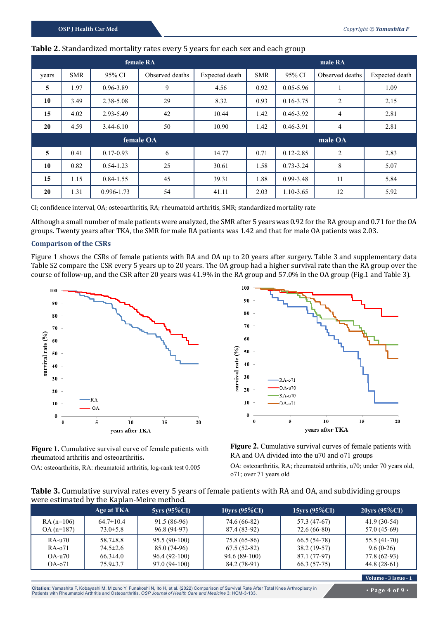| female RA<br>male RA |            |               |                 |                |            |               |                 |                |
|----------------------|------------|---------------|-----------------|----------------|------------|---------------|-----------------|----------------|
| years                | <b>SMR</b> | 95% CI        | Observed deaths | Expected death | <b>SMR</b> | 95% CI        | Observed deaths | Expected death |
| 5                    | 1.97       | 0.96-3.89     | 9               | 4.56           | 0.92       | $0.05 - 5.96$ |                 | 1.09           |
| 10                   | 3.49       | 2.38-5.08     | 29              | 8.32           | 0.93       | $0.16 - 3.75$ | $\overline{2}$  | 2.15           |
| 15                   | 4.02       | 2.93-5.49     | 42              | 10.44          | 1.42       | $0.46 - 3.92$ | 4               | 2.81           |
| 20                   | 4.59       | $3.44 - 6.10$ | 50              | 10.90          | 1.42       | 0.46-3.91     | 4               | 2.81           |
| female OA            |            |               |                 |                | male OA    |               |                 |                |
| 5                    | 0.41       | $0.17 - 0.93$ | 6               | 14.77          | 0.71       | $0.12 - 2.85$ | $\overline{2}$  | 2.83           |
| 10                   | 0.82       | $0.54 - 1.23$ | 25              | 30.61          | 1.58       | $0.73 - 3.24$ | 8               | 5.07           |
| 15                   | 1.15       | $0.84 - 1.55$ | 45              | 39.31          | 1.88       | $0.99 - 3.48$ | 11              | 5.84           |
| 20                   | 1.31       | 0.996-1.73    | 54              | 41.11          | 2.03       | 1.10-3.65     | 12              | 5.92           |

### **Table 2.** Standardized mortality rates every 5 years for each sex and each group

CI; confidence interval, OA; osteoarthritis, RA; rheumatoid arthritis, SMR; standardized mortality rate

Although a small number of male patients were analyzed, the SMR after 5 years was 0.92 for the RA group and 0.71 for the OA groups. Twenty years after TKA, the SMR for male RA patients was 1.42 and that for male OA patients was 2.03.

### **Comparison of the CSRs**

Figure 1 shows the CSRs of female patients with RA and OA up to 20 years after surgery. Table 3 and supplementary data Table S2 compare the CSR every 5 years up to 20 years. The OA group had a higher survival rate than the RA group over the course of follow-up, and the CSR after 20 years was 41.9% in the RA group and 57.0% in the OA group (Fig.1 and Table 3).



Figure 1. Cumulative survival curve of female patients with rheumatoid arthritis and osteoarthritis**.**

OA: osteoarthritis, RA: rheumatoid arthritis, log-rank test 0.005



Figure 2. Cumulative survival curves of female patients with RA and OA divided into the u70 and o71 groups

OA: osteoarthritis, RA; rheumatoid arthritis, u70; under 70 years old, o71; over 71 years old

| Table 3. Cumulative survival rates every 5 years of female patients with RA and OA, and subdividing groups |
|------------------------------------------------------------------------------------------------------------|
| were estimated by the Kaplan-Meire method.                                                                 |
|                                                                                                            |

|             | Age at TKA      | $5yrs(95\%CI)$ | $10$ yrs (95%CI) | $15$ yrs (95%CI) | $20\,\text{yrs}$ (95%CI) |
|-------------|-----------------|----------------|------------------|------------------|--------------------------|
| $RA(n=106)$ | $64.7 \pm 10.4$ | 91.5 (86-96)   | 74.6 (66-82)     | 57.3 (47-67)     | $41.9(30-54)$            |
| $OA(n=187)$ | $73.0 \pm 5.8$  | 96.8 (94-97)   | 87.4 (83-92)     | 72.6 (66-80)     | $57.0(45-69)$            |
| RA-u70      | $58.7 \pm 8.8$  | $95.5(90-100)$ | 75.8 (65-86)     | 66.5 (54-78)     | 55.5 (41-70)             |
| RA-071      | $74.5 \pm 2.6$  | 85.0 (74-96)   | $67.5(52-82)$    | $38.2(19-57)$    | $9.6(0-26)$              |
| $OA-u70$    | $66.3 \pm 4.0$  | $96.4(92-100)$ | 94.6 (89-100)    | 87.1 (77-97)     | 77.8 (62-93)             |
| $OA-071$    | $75.9 \pm 3.7$  | 97.0 (94-100)  | 84.2 (78-91)     | 66.3 (57-75)     | $44.8(28-61)$            |

**Volume - 3 Issue - 1**

**Citation:** Yamashita F, Kobayashi M, Mizuno Y, Funakoshi N, Ito H, et al. (2022) Comparison of Survival Rate After Total Knee Arthroplasty in Patients with Rheumatoid Arthritis and Osteoarthritis. *OSP Journal of Health Care and Medicine* 3: HCM-3-133.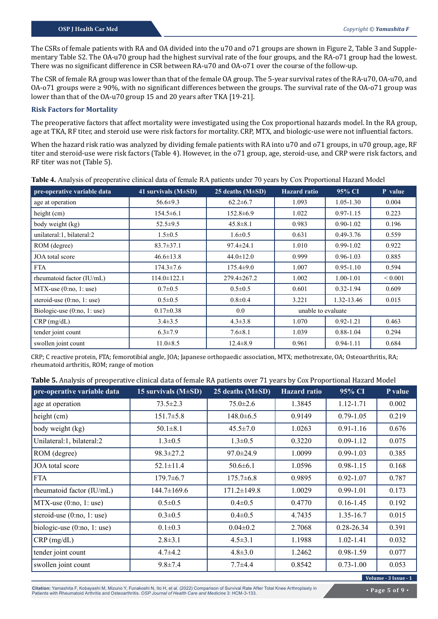The CSRs of female patients with RA and OA divided into the u70 and o71 groups are shown in Figure 2, Table 3 and Supplementary Table S2. The OA-u70 group had the highest survival rate of the four groups, and the RA-o71 group had the lowest. There was no significant difference in CSR between RA-u70 and OA-o71 over the course of the follow-up.

The CSR of female RA group was lower than that of the female OA group. The 5-year survival rates of the RA-u70, OA-u70, and OA-o71 groups were ≥ 90%, with no significant differences between the groups. The survival rate of the OA-o71 group was lower than that of the OA-u70 group 15 and 20 years after TKA [19-21].

#### **Risk Factors for Mortality**

The preoperative factors that affect mortality were investigated using the Cox proportional hazards model. In the RA group, age at TKA, RF titer, and steroid use were risk factors for mortality. CRP, MTX, and biologic-use were not influential factors.

When the hazard risk ratio was analyzed by dividing female patients with RA into u70 and o71 groups, in u70 group, age, RF titer and steroid-use were risk factors (Table 4). However, in the o71 group, age, steroid-use, and CRP were risk factors, and RF titer was not (Table 5).

| pre-operative variable data  | 41 survivals $(M\pm SD)$ | 25 deaths $(M\pm SD)$ | <b>Hazard</b> ratio | 95% CI        | P value      |
|------------------------------|--------------------------|-----------------------|---------------------|---------------|--------------|
| age at operation             | $56.6 \pm 9.3$           | $62.2 \pm 6.7$        | 1.093               | $1.05 - 1.30$ | 0.004        |
| height $(cm)$                | $154.5 \pm 6.1$          | $152.8 \pm 6.9$       | 1.022               | $0.97 - 1.15$ | 0.223        |
| body weight (kg)             | $52.5 \pm 9.5$           | $45.8 \pm 8.1$        | 0.983               | $0.90 - 1.02$ | 0.196        |
| unilateral:1, bilateral:2    | $1.5 \pm 0.5$            | $1.6 \pm 0.5$         | 0.631               | $0.49 - 3.76$ | 0.559        |
| ROM (degree)                 | $83.7 \pm 37.1$          | $97.4 \pm 24.1$       | 1.010               | $0.99 - 1.02$ | 0.922        |
| JOA total score              | $46.6 \pm 13.8$          | $44.0 \pm 12.0$       | 0.999               | $0.96 - 1.03$ | 0.885        |
| <b>FTA</b>                   | $174.3 \pm 7.6$          | $175.4 \pm 9.0$       | 1.007               | $0.95 - 1.10$ | 0.594        |
| rheumatoid factor (IU/mL)    | $114.0 \pm 122.1$        | $279.4 \pm 267.2$     | 1.002               | $1.00 - 1.01$ | ${}_{0.001}$ |
| $MTX$ -use $(0:no, 1:use)$   | $0.7 \pm 0.5$            | $0.5 \pm 0.5$         | 0.601               | $0.32 - 1.94$ | 0.609        |
| steroid-use $(0:no, 1:use)$  | $0.5 \pm 0.5$            | $0.8 \pm 0.4$         | 3.221               | 1.32-13.46    | 0.015        |
| Biologic-use $(0:no, 1:use)$ | $0.17 \pm 0.38$          | 0.0                   | unable to evaluate  |               |              |
| $CRP$ (mg/dL)                | $3.4 \pm 3.5$            | $4.3 \pm 3.8$         | 1.070               | $0.92 - 1.21$ | 0.463        |
| tender joint count           | $6.3 \pm 7.9$            | $7.6 \pm 8.1$         | 1.039               | $0.88 - 1.04$ | 0.294        |
| swollen joint count          | $11.0 \pm 8.5$           | $12.4 \pm 8.9$        | 0.961               | $0.94 - 1.11$ | 0.684        |

**Table 4.** Analysis of preoperative clinical data of female RA patients under 70 years by Cox Proportional Hazard Model

CRP; C reactive protein, FTA; femorotibial angle, JOA; Japanese orthopaedic association, MTX; methotrexate, OA; Osteoarthritis, RA; rheumatoid arthritis, ROM; range of motion

| Table 5. Analysis of preoperative clinical data of female RA patients over 71 years by Cox Proportional Hazard Model |
|----------------------------------------------------------------------------------------------------------------------|
|----------------------------------------------------------------------------------------------------------------------|

| pre-operative variable data  | 15 survivals $(M\pm SD)$ | 25 deaths $(M\pm SD)$ | <b>Hazard</b> ratio | 95% CI         | P value |
|------------------------------|--------------------------|-----------------------|---------------------|----------------|---------|
| age at operation             | $73.5 \pm 2.3$           | $75.0 \pm 2.6$        | 1.3845              | 1.12-1.71      | 0.002   |
| height (cm)                  | $151.7 \pm 5.8$          | $148.0 \pm 6.5$       | 0.9149              | $0.79 - 1.05$  | 0.219   |
| body weight (kg)             | $50.1 \pm 8.1$           | $45.5 \pm 7.0$        | 1.0263              | $0.91 - 1.16$  | 0.676   |
| Unilateral:1, bilateral:2    | $1.3 \pm 0.5$            | $1.3 \pm 0.5$         | 0.3220              | $0.09 - 1.12$  | 0.075   |
| ROM (degree)                 | $98.3 \pm 27.2$          | $97.0 \pm 24.9$       | 1.0099              | $0.99 - 1.03$  | 0.385   |
| JOA total score              | $52.1 \pm 11.4$          | $50.6 \pm 6.1$        | 1.0596              | $0.98 - 1.15$  | 0.168   |
| <b>FTA</b>                   | $179.7 \pm 6.7$          | $175.7\pm 6.8$        | 0.9895              | $0.92 - 1.07$  | 0.787   |
| rheumatoid factor (IU/mL)    | 144.7±169.6              | $171.2 \pm 149.8$     | 1.0029              | $0.99 - 1.01$  | 0.173   |
| $MTX$ -use $(0:no, 1:use)$   | $0.5 \pm 0.5$            | $0.4 \pm 0.5$         | 0.4770              | $0.16 - 1.45$  | 0.192   |
| steroid-use $(0:no, 1:use)$  | $0.3 \pm 0.5$            | $0.4 \pm 0.5$         | 4.7435              | 1.35-16.7      | 0.015   |
| biologic-use $(0:no, 1:use)$ | $0.1 \pm 0.3$            | $0.04 \pm 0.2$        | 2.7068              | $0.28 - 26.34$ | 0.391   |
| $CRP$ (mg/dL)                | $2.8 \pm 3.1$            | $4.5 \pm 3.1$         | 1.1988              | $1.02 - 1.41$  | 0.032   |
| tender joint count           | $4.7 \pm 4.2$            | $4.8 \pm 3.0$         | 1.2462              | $0.98 - 1.59$  | 0.077   |
| swollen joint count          | $9.8 \pm 7.4$            | $7.7 + 4.4$           | 0.8542              | $0.73 - 1.00$  | 0.053   |

**Citation:** Yamashita F, Kobayashi M, Mizuno Y, Funakoshi N, Ito H, et al. (2022) Comparison of Survival Rate After Total Knee Arthroplasty in Patients with Rheumatoid Arthritis and Osteoarthritis. *OSP Journal of Health Care and Medicine* 3: HCM-3-133.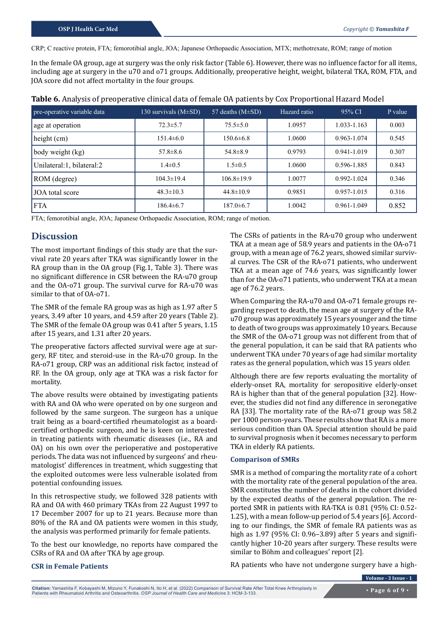CRP; C reactive protein, FTA; femorotibial angle, JOA; Japanese Orthopaedic Association, MTX; methotrexate, ROM; range of motion

In the female OA group, age at surgery was the only risk factor (Table 6). However, there was no influence factor for all items, including age at surgery in the u70 and o71 groups. Additionally, preoperative height, weight, bilateral TKA, ROM, FTA, and JOA score did not affect mortality in the four groups.

| pre-operative variable data | 130 survivals $(M\pm SD)$ | 57 deaths $(M\pm SD)$ | Hazard ratio | $95\%$ CI       | P value |
|-----------------------------|---------------------------|-----------------------|--------------|-----------------|---------|
| age at operation            | $72.3 \pm 5.7$            | $75.5 \pm 5.0$        | 1.0957       | 1.033-1.163     | 0.003   |
| height (cm)                 | $151.4\pm 6.0$            | $150.6 \pm 6.8$       | 1.0600       | 0.963-1.074     | 0.545   |
| body weight (kg)            | $57.8 \pm 8.6$            | $54.8 \pm 8.9$        | 0.9793       | $0.941 - 1.019$ | 0.307   |
| Unilateral:1, bilateral:2   | $1.4 \pm 0.5$             | $1.5 \pm 0.5$         | 1.0600       | 0.596-1.885     | 0.843   |
| ROM (degree)                | $104.3 \pm 19.4$          | $106.8 \pm 19.9$      | 1.0077       | $0.992 - 1.024$ | 0.346   |
| JOA total score             | $48.3 \pm 10.3$           | $44.8 \pm 10.9$       | 0.9851       | $0.957 - 1.015$ | 0.316   |
| <b>FTA</b>                  | $186.4\pm 6.7$            | $187.0 \pm 6.7$       | 1.0042       | 0.961-1.049     | 0.852   |

**Table 6.** Analysis of preoperative clinical data of female OA patients by Cox Proportional Hazard Model

FTA; femorotibial angle, JOA; Japanese Orthopaedic Association, ROM; range of motion.

# **Discussion**

The most important findings of this study are that the survival rate 20 years after TKA was significantly lower in the RA group than in the OA group (Fig.1, Table 3). There was no significant difference in CSR between the RA-u70 group and the OA-o71 group. The survival curve for RA-u70 was similar to that of OA-o71.

The SMR of the female RA group was as high as 1.97 after 5 years, 3.49 after 10 years, and 4.59 after 20 years (Table 2). The SMR of the female OA group was 0.41 after 5 years, 1.15 after 15 years, and 1.31 after 20 years.

The preoperative factors affected survival were age at surgery, RF titer, and steroid-use in the RA-u70 group. In the RA-o71 group, CRP was an additional risk factor, instead of RF. In the OA group, only age at TKA was a risk factor for mortality.

The above results were obtained by investigating patients with RA and OA who were operated on by one surgeon and followed by the same surgeon. The surgeon has a unique trait being as a board-certified rheumatologist as a boardcertified orthopedic surgeon, and he is keen on interested in treating patients with rheumatic diseases (i.e., RA and OA) on his own over the perioperative and postoperative periods. The data was not influenced by surgeons' and rheumatologist' differences in treatment, which suggesting that the exploited outcomes were less vulnerable isolated from potential confounding issues.

In this retrospective study, we followed 328 patients with RA and OA with 460 primary TKAs from 22 August 1997 to 17 December 2007 for up to 21 years. Because more than 80% of the RA and OA patients were women in this study, the analysis was performed primarily for female patients.

To the best our knowledge, no reports have compared the CSRs of RA and OA after TKA by age group.

The CSRs of patients in the RA-u70 group who underwent TKA at a mean age of 58.9 years and patients in the OA-o71 group, with a mean age of 76.2 years, showed similar survival curves. The CSR of the RA-o71 patients, who underwent TKA at a mean age of 74.6 years, was significantly lower than for the OA-o71 patients, who underwent TKA at a mean age of 76.2 years.

When Comparing the RA-u70 and OA-o71 female groups regarding respect to death, the mean age at surgery of the RAu70 group was approximately 15 years younger and the time to death of two groups was approximately 10 years. Because the SMR of the OA-o71 group was not different from that of the general population, it can be said that RA patients who underwent TKA under 70 years of age had similar mortality rates as the general population, which was 15 years older.

Although there are few reports evaluating the mortality of elderly-onset RA, mortality for seropositive elderly-onset RA is higher than that of the general population [32]. However, the studies did not find any difference in seronegative RA [33]. The mortality rate of the RA-o71 group was 58.2 per 1000 person-years. These results show that RA is a more serious condition than OA. Special attention should be paid to survival prognosis when it becomes necessary to perform TKA in elderly RA patients.

#### **Comparison of SMRs**

SMR is a method of comparing the mortality rate of a cohort with the mortality rate of the general population of the area. SMR constitutes the number of deaths in the cohort divided by the expected deaths of the general population. The reported SMR in patients with RA-TKA is 0.81 (95% CI: 0.52- 1.25), with a mean follow-up period of 5.4 years [6]. According to our findings, the SMR of female RA patients was as high as 1.97 (95% CI: 0.96–3.89) after 5 years and significantly higher 10**-**20 years after surgery. These results were similar to Böhm and colleagues' report [2].

RA patients who have not undergone surgery have a high-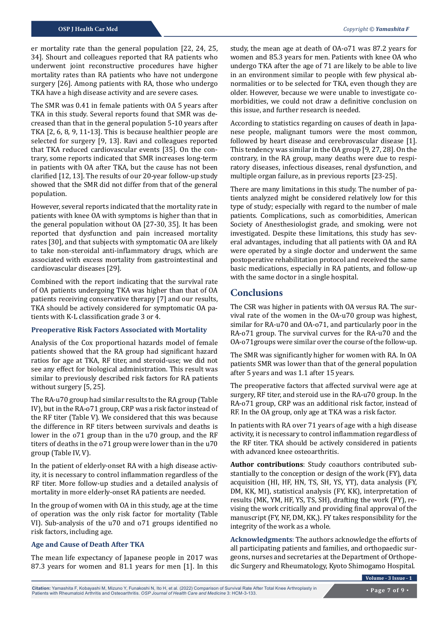er mortality rate than the general population [22, 24, 25, 34]. Shourt and colleagues reported that RA patients who underwent joint reconstructive procedures have higher mortality rates than RA patients who have not undergone surgery [26]. Among patients with RA, those who undergo TKA have a high disease activity and are severe cases.

The SMR was 0.41 in female patients with OA 5 years after TKA in this study. Several reports found that SMR was decreased than that in the general population 5**-**10 years after TKA [2, 6, 8, 9, 11**-**13]. This is because healthier people are selected for surgery [9, 13]. Ravi and colleagues reported that TKA reduced cardiovascular events [35]. On the contrary, some reports indicated that SMR increases long-term in patients with OA after TKA, but the cause has not been clarified [12, 13]. The results of our 20-year follow-up study showed that the SMR did not differ from that of the general population.

However, several reports indicated that the mortality rate in patients with knee OA with symptoms is higher than that in the general population without OA [27**-**30, 35]. It has been reported that dysfunction and pain increased mortality rates [30], and that subjects with symptomatic OA are likely to take non-steroidal anti-inflammatory drugs, which are associated with excess mortality from gastrointestinal and cardiovascular diseases [29].

Combined with the report indicating that the survival rate of OA patients undergoing TKA was higher than that of OA patients receiving conservative therapy [7] and our results, TKA should be actively considered for symptomatic OA patients with K-L classification grade 3 or 4.

#### **Preoperative Risk Factors Associated with Mortality**

Analysis of the Cox proportional hazards model of female patients showed that the RA group had significant hazard ratios for age at TKA, RF titer, and steroid-use; we did not see any effect for biological administration. This result was similar to previously described risk factors for RA patients without surgery [5, 25].

The RA-u70 group had similar results to the RA group (Table IV), but in the RA-o71 group, CRP was a risk factor instead of the RF titer (Table V). We considered that this was because the difference in RF titers between survivals and deaths is lower in the o71 group than in the u70 group, and the RF titers of deaths in the o71 group were lower than in the u70 group (Table IV, V).

In the patient of elderly-onset RA with a high disease activity, it is necessary to control inflammation regardless of the RF titer. More follow-up studies and a detailed analysis of mortality in more elderly-onset RA patients are needed.

In the group of women with OA in this study, age at the time of operation was the only risk factor for mortality (Table VI). Sub-analysis of the u70 and o71 groups identified no risk factors, including age.

### **Age and Cause of Death After TKA**

The mean life expectancy of Japanese people in 2017 was 87.3 years for women and 81.1 years for men [1]. In this study, the mean age at death of OA-o71 was 87.2 years for women and 85.3 years for men. Patients with knee OA who undergo TKA after the age of 71 are likely to be able to live in an environment similar to people with few physical abnormalities or to be selected for TKA, even though they are older. However, because we were unable to investigate comorbidities, we could not draw a definitive conclusion on this issue, and further research is needed.

According to statistics regarding on causes of death in Japanese people, malignant tumors were the most common, followed by heart disease and cerebrovascular disease [1]. This tendency was similar in the OA group [9, 27, 28]. On the contrary, in the RA group, many deaths were due to respiratory diseases, infectious diseases, renal dysfunction, and multiple organ failure, as in previous reports [23-25].

There are many limitations in this study. The number of patients analyzed might be considered relatively low for this type of study; especially with regard to the number of male patients. Complications, such as comorbidities, American Society of Anesthesiologist grade, and smoking, were not investigated. Despite these limitations, this study has several advantages, including that all patients with OA and RA were operated by a single doctor and underwent the same postoperative rehabilitation protocol and received the same basic medications, especially in RA patients, and follow-up with the same doctor in a single hospital.

## **Conclusions**

The CSR was higher in patients with OA versus RA. The survival rate of the women in the OA-u70 group was highest, similar for RA-u70 and OA-o71, and particularly poor in the RA-o71 group. The survival curves for the RA-u70 and the OA-o71groups were similar over the course of the follow-up.

The SMR was significantly higher for women with RA. In OA patients SMR was lower than that of the general population after 5 years and was 1.1 after 15 years.

The preoperative factors that affected survival were age at surgery, RF titer, and steroid use in the RA-u70 group. In the RA-o71 group, CRP was an additional risk factor, instead of RF. In the OA group, only age at TKA was a risk factor.

In patients with RA over 71 years of age with a high disease activity, it is necessary to control inflammation regardless of the RF titer. TKA should be actively considered in patients with advanced knee osteoarthritis.

**Author contributions**: Study coauthors contributed substantially to the conception or design of the work (FY), data acquisition (HI, HF, HN, TS, SH, YS, YT), data analysis (FY, DM, KK, MI), statistical analysis (FY, KK), interpretation of results (MK, YM, HF, YS, TS, SH), drafting the work (FY), revising the work critically and providing final approval of the manuscript (FY, NF, DM, KK,). FY takes responsibility for the integrity of the work as a whole.

**Acknowledgments**: The authors acknowledge the efforts of all participating patients and families, and orthopaedic surgeons, nurses and secretaries at the Department of Orthopedic Surgery and Rheumatology, Kyoto Shimogamo Hospital.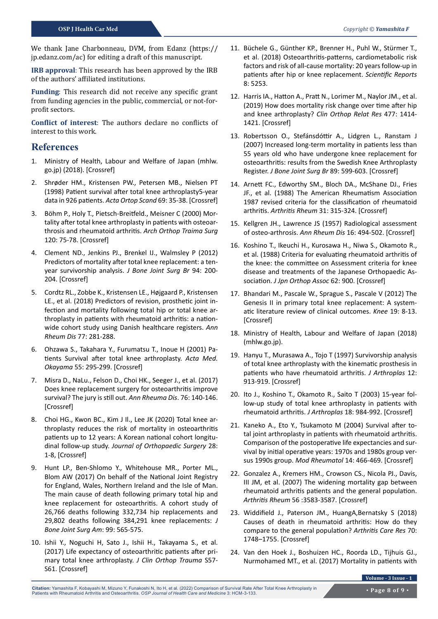We thank Jane Charbonneau, DVM, from Edanz (https:// jp.edanz.com/ac) for editing a draft of this manuscript.

**IRB approval**: This research has been approved by the IRB of the authors' affiliated institutions.

**Funding**: This research did not receive any specific grant from funding agencies in the public, commercial, or not-forprofit sectors.

**Conflict of interest**: The authors declare no conflicts of interest to this work.

# **References**

- 1. Ministry of Health, Labour and Welfare of Japan (mhlw. go.jp) (2018). [Crossref]
- 2. Shrøder HM., Kristensen PW., Petersen MB., Nielsen PT (1998) Patient survival after total knee arthroplasty5-year data in 926 patients. *Acta Ortop Scand* 69: 35-38. [\[Crossref\]](https://pubmed.ncbi.nlm.nih.gov/9524515/)
- 3. Böhm P., Holy T., Pietsch-Breitfeld., Meisner C (2000) Mortality after total knee arthroplasty in patients with osteoarthrosis and rheumatoid arthritis. *Arch Orthop Traima Surg* 120: 75-78. [\[Crossref\]](https://pubmed.ncbi.nlm.nih.gov/10653109/#:~:text=Age standardized mortality ratios (SMRs,%25 CI 1.0%2D7.19).)
- 4. Clement ND., Jenkins PJ., Brenkel IJ., Walmsley P (2012) Predictors of mortality after total knee replacement: a tenyear survivorship analysis. *J Bone Joint Surg Br* 94: 200- 204. [\[Crossref\]](https://pubmed.ncbi.nlm.nih.gov/22323686/#:~:text=Multivariate modelling confirmed the independent,standardised mortality ratio of 1.90.)
- 5. Cordtz RL., Zobbe K., Kristensen LE., Højgaard P., Kristensen LE., et al. (2018) Predictors of revision, prosthetic joint infection and mortality following total hip or total knee arthroplasty in patients with rheumatoid arthritis: a nationwide cohort study using Danish healthcare registers. *Ann Rheum Dis* 77: 281-288.
- 6. Ohzawa S., Takahara Y., Furumatsu T., Inoue H (2001) Patients Survival after total knee arthroplasty. *Acta Med. Okayama* 55: 295-299. [\[Crossref\]](https://pubmed.ncbi.nlm.nih.gov/11688953/)
- 7. Misra D., NaLu., Felson D., Choi HK., Seeger J., et al. (2017) Does knee replacement surgery for osteoarthritis improve survival? The jury is still out. *Ann Rheuma Dis*. 76: 140-146. [\[Crossref\]](https://pubmed.ncbi.nlm.nih.gov/27190096/)
- 8. Choi HG., Kwon BC., Kim J Il., Lee JK (2020) Total knee arthroplasty reduces the risk of mortality in osteoarthritis patients up to 12 years: A Korean national cohort longitudinal follow-up study. *Journal of Orthopaedic Surgery* 28: 1-8, [\[Crossref\]](https://pubmed.ncbi.nlm.nih.gov/32072852/)
- 9. Hunt LP., Ben-Shlomo Y., Whitehouse MR., Porter ML., Blom AW (2017) On behalf of the National Joint Registry for England, Wales, Northern Ireland and the Isle of Man. The main cause of death following primary total hip and knee replacement for osteoarthritis. A cohort study of 26,766 deaths following 332,734 hip replacements and 29,802 deaths following 384,291 knee replacements: *J Bone Joint Surg Am*: 99: 565-575.
- 10. Ishii Y., Noguchi H, Sato J., Ishii H., Takayama S., et al. (2017) Life expectancy of osteoarthritic patients after primary total knee arthroplasty. *J Clin Orthop Trauma* S57- S61. [\[Crossref\]](https://www.ncbi.nlm.nih.gov/pmc/articles/PMC5681233/)
- 11. Büchele G., Günther KP., Brenner H., Puhl W., Stürmer T., et al. (2018) Osteoarthritis-patterns, cardiometabolic risk factors and risk of all-cause mortality: 20 years follow-up in patients after hip or knee replacement. *Scientific Reports* 8: 5253.
- 12. Harris IA., Hatton A., Pratt N., Lorimer M., Naylor JM., et al. (2019) How does mortality risk change over time after hip and knee arthroplasty? *Clin Orthop Relat Res* 477: 1414- 1421. [\[Crossref\]](https://www.ncbi.nlm.nih.gov/pmc/articles/PMC6554112/)
- 13. Robertsson O., Stefánsdóttir A., Lidgren L., Ranstam J (2007) Increased long-term mortality in patients less than 55 years old who have undergone knee replacement for osteoarthritis: results from the Swedish Knee Arthroplasty Register. *J Bone Joint Surg Br* 89: 599-603. [\[Crossref\]](https://pubmed.ncbi.nlm.nih.gov/17540743/)
- 14. Arnett FC., Edworthy SM., Bloch DA., McShane DJ., Fries JF., et al. (1988) The American Rheumatism Association 1987 revised criteria for the classification of rheumatoid arthritis. *Arthritis Rheum* 31: 315-324. [\[Crossref\]](https://pubmed.ncbi.nlm.nih.gov/3358796/)
- 15. Kellgren JH., Lawrence JS (1957) Radiological assessment of osteo-arthrosis. *Ann Rheum Dis* 16: 494-502. [\[Crossref\]](https://pubmed.ncbi.nlm.nih.gov/13498604/)
- 16. Koshino T., Ikeuchi H., Kurosawa H., Niwa S., Okamoto R., et al. (1988) Criteria for evaluating rheumatoid arthritis of the knee: the committee on Assessment criteria for knee disease and treatments of the Japanese Orthopaedic Association. *J Jpn Orthop Assoc* 62: 900. [\[Crossref\]](https://pubmed.ncbi.nlm.nih.gov/3741515/)
- 17. Bhandari M., Pascale W., Sprague S., Pascale V (2012) The Genesis II in primary total knee replacement: A systematic literature review of clinical outcomes. *Knee* 19: 8-13. [\[Crossref\]](https://pubmed.ncbi.nlm.nih.gov/21497098/)
- 18. Ministry of Health, Labour and Welfare of Japan (2018) (mhlw.go.jp).
- 19. Hanyu T., Murasawa A., Tojo T (1997) Survivorship analysis of total knee arthroplasty with the kinematic prosthesis in patients who have rheumatoid arthritis. *J Arthroplas* 12: 913-919. [\[Crossref\]](https://pubmed.ncbi.nlm.nih.gov/9458257/)
- 20. Ito J., Koshino T., Okamoto R., Saito T (2003) 15-year follow-up study of total knee arthroplasty in patients with rheumatoid arthritis. *J Arthroplas* 18: 984-992. [\[Crossref\]](https://pubmed.ncbi.nlm.nih.gov/14658102/#:~:text=The survival rate of prostheses,a good long%2Dterm outcome.)
- 21. Kaneko A., Eto Y., Tsukamoto M (2004) Survival after total joint arthroplasty in patients with rheumatoid arthritis. Comparison of the postoperative life expectancies and survival by initial operative years: 1970s and 1980s group versus 1990s group. *Mod Rheumatol* 14: 466-469. [\[Crossref\]](https://pubmed.ncbi.nlm.nih.gov/24387724/)
- 22. Gonzalez A., Kremers HM., Crowson CS., Nicola PJ., Davis, III JM, et al. (2007) The widening mortality gap between rheumatoid arthritis patients and the general population. *Arthritis Rheum* 56 :3583-3587. [\[Crossref\]](https://pubmed.ncbi.nlm.nih.gov/17968923/)
- 23. Widdifield J., Paterson JM., HuangA,Bernatsky S (2018) Causes of death in rheumatoid arthritis: How do they compare to the general population? *Arthritis Care Res* 70: 1748–1755. [\[Crossref\]](https://pubmed.ncbi.nlm.nih.gov/29512334/#:~:text=Increased mortality for all%2Dcause,respiratory disease and circulatory disease.)
- 24. Van den Hoek J., Boshuizen HC., Roorda LD., Tijhuis GJ., Nurmohamed MT., et al. (2017) Mortality in patients with